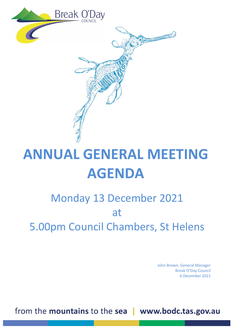

## **ANNUAL GENERAL MEETING AGENDA**

## Monday 13 December 2021 at 5.00pm Council Chambers, St Helens

John Brown, General Manager Break O'Day Council 6 December 2021

from the mountains to the sea | www.bodc.tas.gov.au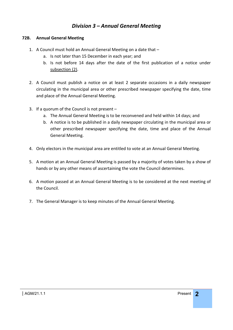### *Division 3 – Annual General Meeting*

#### **72B. Annual General Meeting**

- 1. A Council must hold an Annual General Meeting on a date that
	- a. Is not later than 15 December in each year; and
	- b. Is not before 14 days after the date of the first publication of a notice under subsection (2).
- 2. A Council must publish a notice on at least 2 separate occasions in a daily newspaper circulating in the municipal area or other prescribed newspaper specifying the date, time and place of the Annual General Meeting.
- 3. If a quorum of the Council is not present
	- a. The Annual General Meeting is to be reconvened and held within 14 days; and
	- b. A notice is to be published in a daily newspaper circulating in the municipal area or other prescribed newspaper specifying the date, time and place of the Annual General Meeting.
- 4. Only electors in the municipal area are entitled to vote at an Annual General Meeting.
- 5. A motion at an Annual General Meeting is passed by a majority of votes taken by a show of hands or by any other means of ascertaining the vote the Council determines.
- 6. A motion passed at an Annual General Meeting is to be considered at the next meeting of the Council.
- 7. The General Manager is to keep minutes of the Annual General Meeting.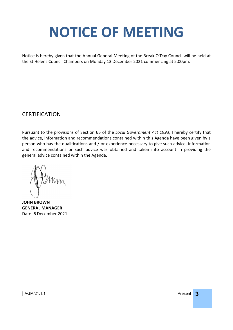# <span id="page-2-0"></span>**NOTICE OF MEETING**

Notice is hereby given that the Annual General Meeting of the Break O'Day Council will be held at the St Helens Council Chambers on Monday 13 December 2021 commencing at 5.00pm.

### **CERTIFICATION**

Pursuant to the provisions of Section 65 of the *Local Government Act 1993*, I hereby certify that the advice, information and recommendations contained within this Agenda have been given by a person who has the qualifications and / or experience necessary to give such advice, information and recommendations or such advice was obtained and taken into account in providing the general advice contained within the Agenda.

**JOHN BROWN GENERAL MANAGER** Date: 6 December 2021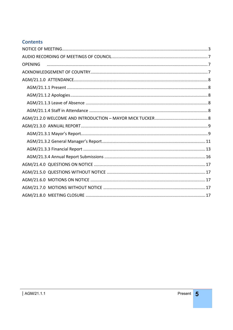### **Contents**

| <b>OPENING</b> |  |
|----------------|--|
|                |  |
|                |  |
|                |  |
|                |  |
|                |  |
|                |  |
|                |  |
|                |  |
|                |  |
|                |  |
|                |  |
|                |  |
|                |  |
|                |  |
|                |  |
|                |  |
|                |  |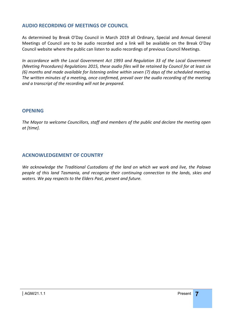#### <span id="page-6-0"></span>**AUDIO RECORDING OF MEETINGS OF COUNCIL**

As determined by Break O'Day Council in March 2019 all Ordinary, Special and Annual General Meetings of Council are to be audio recorded and a link will be available on the Break O'Day Council website where the public can listen to audio recordings of previous Council Meetings.

*In accordance with the Local Government Act 1993 and Regulation 33 of the Local Government (Meeting Procedures) Regulations 2015, these audio files will be retained by Council for at least six (6) months and made available for listening online within seven (7) days of the scheduled meeting. The written minutes of a meeting, once confirmed, prevail over the audio recording of the meeting and a transcript of the recording will not be prepared.*

#### <span id="page-6-1"></span>**OPENING**

*The Mayor to welcome Councillors, staff and members of the public and declare the meeting open at [time].*

#### <span id="page-6-2"></span>**ACKNOWLEDGEMENT OF COUNTRY**

*We acknowledge the Traditional Custodians of the land on which we work and live, the Palawa people of this land Tasmania, and recognise their continuing connection to the lands, skies and waters. We pay respects to the Elders Past, present and future.*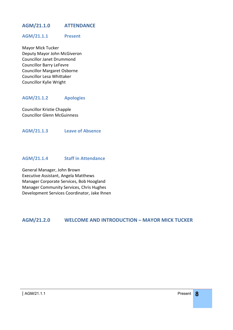#### <span id="page-7-0"></span>**AGM/21.1.0 ATTENDANCE**

#### <span id="page-7-1"></span>**AGM/21.1.1 Present**

Mayor Mick Tucker Deputy Mayor John McGiveron Councillor Janet Drummond Councillor Barry LeFevre Councillor Margaret Osborne Councillor Lesa Whittaker Councillor Kylie Wright

#### <span id="page-7-2"></span>**AGM/21.1.2 Apologies**

Councillor Kristie Chapple Councillor Glenn McGuinness

<span id="page-7-3"></span>**AGM/21.1.3 Leave of Absence**

#### <span id="page-7-4"></span>**AGM/21.1.4 Staff in Attendance**

General Manager, John Brown Executive Assistant, Angela Matthews Manager Corporate Services, Bob Hoogland Manager Community Services, Chris Hughes Development Services Coordinator, Jake Ihnen

#### <span id="page-7-5"></span>**AGM/21.2.0 WELCOME AND INTRODUCTION – MAYOR MICK TUCKER**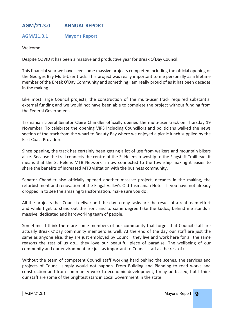#### <span id="page-8-0"></span>**AGM/21.3.0 ANNUAL REPORT**

#### <span id="page-8-1"></span>**AGM/21.3.1 Mayor's Report**

Welcome.

Despite COVID it has been a massive and productive year for Break O'Day Council.

This financial year we have seen some massive projects completed including the official opening of the Georges Bay Multi-User track. This project was really important to me personally as a lifetime member of the Break O'Day Community and something I am really proud of as it has been decades in the making.

Like most large Council projects, the construction of the multi-user track required substantial external funding and we would not have been able to complete the project without funding from the Federal Government.

Tasmanian Liberal Senator Claire Chandler officially opened the multi-user track on Thursday 19 November. To celebrate the opening VIPS including Councillors and politicians walked the news section of the track from the wharf to Beauty Bay where we enjoyed a picnic lunch supplied by the East Coast Providore.

Since opening, the track has certainly been getting a lot of use from walkers and mountain bikers alike. Because the trail connects the centre of the St Helens township to the Flagstaff Trailhead, it means that the St Helens MTB Network is now connected to the township making it easier to share the benefits of increased MTB visitation with the business community.

Senator Chandler also officially opened another massive project, decades in the making, the refurbishment and renovation of the Fingal Valley's Old Tasmanian Hotel. If you have not already dropped in to see the amazing transformation, make sure you do!

All the projects that Council deliver and the day to day tasks are the result of a real team effort and while I get to stand out the front and to some degree take the kudos, behind me stands a massive, dedicated and hardworking team of people.

Sometimes I think there are some members of our community that forget that Council staff are actually Break O'Day community members as well. At the end of the day our staff are just the same as anyone else, they are just employed by Council, they live and work here for all the same reasons the rest of us do… they love our beautiful piece of paradise. The wellbeing of our community and our environment are just as important to Council staff as the rest of us.

Without the team of competent Council staff working hard behind the scenes, the services and projects of Council simply would not happen. From Building and Planning to road works and construction and from community work to economic development, I may be biased, but I think our staff are some of the brightest stars in Local Government in the state!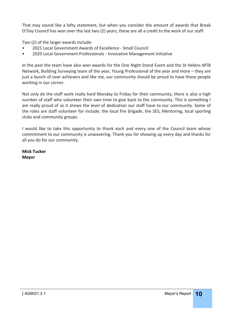That may sound like a lofty statement, but when you consider the amount of awards that Break O'Day Council has won over the last two (2) years, these are all a credit to the work of our staff.

Two (2) of the larger awards include:

- 2021 Local Government Awards of Excellence Small Council
- 2020 Local Government Professionals Innovative Management Initiative

In the past the team have also won awards for the One Night Stand Event and the St Helens MTB Network, Building Surveying team of the year, Young Professional of the year and more – they are just a bunch of over achievers and like me, our community should be proud to have these people working in our corner.

Not only do the staff work really hard Monday to Friday for their community, there is also a high number of staff who volunteer their own time to give back to the community. This is something I am really proud of as it shows the level of dedication our staff have to our community. Some of the roles are staff volunteer for include; the local fire brigade, the SES, Mentoring, local sporting clubs and community groups.

I would like to take this opportunity to thank each and every one of the Council team whose commitment to our community is unwavering. Thank you for showing up every day and thanks for all you do for our community.

**Mick Tucker Mayor**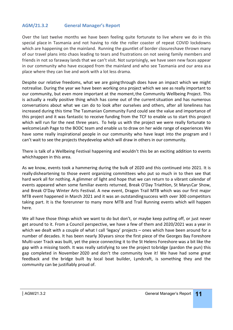#### <span id="page-10-0"></span>**AGM/21.3.2 General Manager's Report**

Over the last twelve months we have been feeling quite fortunate to live where we do in this special place in Tasmania and not having to ride the roller coaster of repeat COVID lockdowns which are happening on the mainland. Running the gauntlet of border closureshave thrown many of our travel plans into chaos leading to tears and frustrations on not seeing family members and friends in not so faraway lands that we can't visit. Not surprisingly, we have seen new faces appear in our community who have escaped from the mainland and who see Tasmania and our area asa place where they can live and work with a lot less drama.

Despite our relative freedoms, what we are going through does have an impact which we might notrealise. During the year we have been working ona project which we see as really important to our community, but even more important at the moment, the Community Wellbeing Project. This is actually a really positive thing which has come out of the current situation and has numerous conversations about what we can do to look after ourselves and others, after all loneliness has increased during this time The Tasmanian Community Fund could see the value and importance of this project and it was fantastic to receive funding from the TCF to enable us to start this project which will run for the next three years. To help us with the project we were really fortunate to welcomeLeah Page to the BODC team and enable us to draw on her wide range of experiences We have some really inspirational people in our community who have leapt into the program and I can't wait to see the projects theydevelop which will draw in others in our community.

There is talk of a Wellbeing Festival happening and wouldn't this be an exciting addition to events whichhappen in this area.

As we know, events took a hammering during the bulk of 2020 and this continued into 2021. It is really disheartening to those event organizing committees who put so much in to then see that hard work all for nothing. A glimmer of light and hope that we can return to a vibrant calendar of events appeared when some familiar events returned, Break O'Day Triathlon, St MarysCar Show, and Break O'Day Winter Arts Festival. A new event, Dragon Trail MTB which was our first major MTB event happened in March 2021 and it was an outstandingsuccess with over 300 competitors taking part. It is the forerunner to many more MTB and Trail Running events which will happen here.

We all have those things which we want to do but don't, or maybe keep putting off, or just never get around to it. From a Council perspective, we have a few of them and 2020/2021 was a year in which we dealt with a couple of what I call 'legacy' projects – ones which have been around for a number of decades. It has been nearly 30years since the first piece of the Georges Bay Foreshore Multi-user Track was built, yet the piece connecting it to the St Helens Foreshore was a bit like the gap with a missing tooth. It was really satisfying to see the project tobridge (pardon the pun) this gap completed in November 2020 and don't the community love it! We have had some great feedback and the bridge built by local boat builder, Lyndcraft, is something they and the community can be justifiably proud of.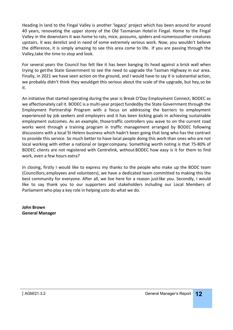Heading in land to the Fingal Valley is another 'legacy' project which has been around for around 40 years, renovating the upper storey of the Old Tasmanian Hotel in Fingal. Home to the Fingal Valley in the downstairs it was home to rats, mice, possums, spiders and numerousother creatures upstairs. It was derelict and in need of some extremely serious work. Now, you wouldn't believe the difference, it is simply amazing to see this area come to life. If you are passing through the Valley,take the time to stop and look.

For several years the Council has felt like it has been banging its head against a brick wall when trying to getthe State Government to see the need to upgrade the Tasman Highway in our area. Finally, in 2021 we have seen action on the ground, and I would have to say it is substantial action, we probably didn't think they wouldget this serious about the scale of the upgrade, but hey,so be it.

An initiative that started operating during the year is Break O'Day Employment Connect, BODEC as we affectionately call it. BODEC is a multi-year project fundedby the State Government through the Employment Partnership Program with a focus on addressing the barriers to employment experienced by job seekers and employers and it has been kicking goals in achieving sustainable employment outcomes. As an example, thosetraffic controllers you wave to on the current road works went through a training program in traffic management arranged by BODEC following discussions with a local St Helens business which hadn't been going that long who has the contract to provide this service. So much better to have local people doing this work than ones who are not local working with either a national or largercompany. Something worth noting is that 75-80% of BODEC clients are not registered with Centrelink, without BODEC how easy is it for them to find work, even a few hours extra?

In closing, firstly I would like to express my thanks to the people who make up the BODC team (Councillors,employees and volunteers), we have a dedicated team committed to making this the best community for everyone. After all, we live here for a reason justlike you. Secondly, I would like to say thank you to our supporters and stakeholders including our Local Members of Parliament who play a key role in helping usto do what we do.

**John Brown General Manager**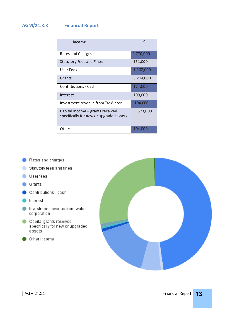### <span id="page-12-0"></span>**AGM/21.3.3 Financial Report**

| Income                                                                      | \$        |
|-----------------------------------------------------------------------------|-----------|
| Rates and Charges                                                           | 9,770,000 |
| <b>Statutory Fees and Fines</b>                                             | 151,000   |
| User Fees                                                                   | 1,162,000 |
| Grants                                                                      | 3,204,000 |
| <b>Contributions - Cash</b>                                                 | 174,000   |
| Interest                                                                    | 109,000   |
| Investment revenue from TasWater                                            | 194,000   |
| Capital Income – grants received<br>specifically for new or upgraded assets | 5,573,000 |
| Other                                                                       | 104,000   |

- Rates and charges
- Statutory fees and fines
- User fees
- **Grants**
- Contributions cash
- Interest
- Investment revenue from water corporation
- Capital grants received specifically for new or upgraded assets
- Other income

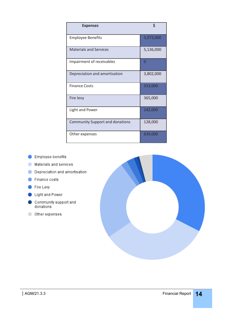| <b>Expenses</b>                        | \$        |
|----------------------------------------|-----------|
| <b>Employee Benefits</b>               | 5,073,000 |
| <b>Materials and Services</b>          | 5,136,000 |
| Impairment of receivables              | 0         |
| Depreciation and amortisation          | 3,802,000 |
| <b>Finance Costs</b>                   | 313,000   |
| Fire levy                              | 365,000   |
| <b>Light and Power</b>                 | 142,000   |
| <b>Community Support and donations</b> | 128,000   |
| Other expenses                         | 639,000   |

- Employee benefits
- Materials and services
- Depreciation and amortisation
- Finance costs
- Fire Levy
- Light and Power
- $\bullet$  Community support and<br>donations
- O Other expenses

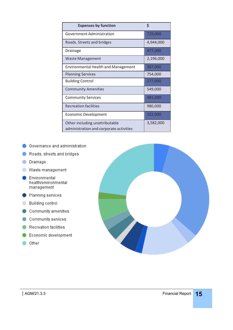| <b>Expenses by function</b>                                               | \$        |
|---------------------------------------------------------------------------|-----------|
| Government Administration                                                 | 729,000   |
| Roads, Streets and bridges                                                | 4,944,000 |
| Drainage                                                                  | 477,000   |
| <b>Waste Management</b>                                                   | 2,196,000 |
| <b>Environmental Health and Management</b>                                | 307,000   |
| <b>Planning Services</b>                                                  | 754,000   |
| <b>Building Control</b>                                                   | 277,000   |
| <b>Community Amenities</b>                                                | 549,000   |
| <b>Community Services</b>                                                 | 481,000   |
| <b>Recreation facilities</b>                                              | 980,000   |
| <b>Economic Development</b>                                               | 322,000   |
| Other including unattributable<br>administration and corporate activities | 3,582,000 |

- Governance and administration
- Roads, streets and bridges
- O Drainage
- Waste management
- Environmental health/environmental management
- Planning services
- Building control
- Community amenities
- Community services
- Recreation facilities
- Economic development
- ther

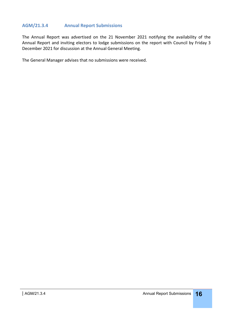#### <span id="page-15-0"></span>**AGM/21.3.4 Annual Report Submissions**

The Annual Report was advertised on the 21 November 2021 notifying the availability of the Annual Report and inviting electors to lodge submissions on the report with Council by Friday 3 December 2021 for discussion at the Annual General Meeting.

The General Manager advises that no submissions were received.